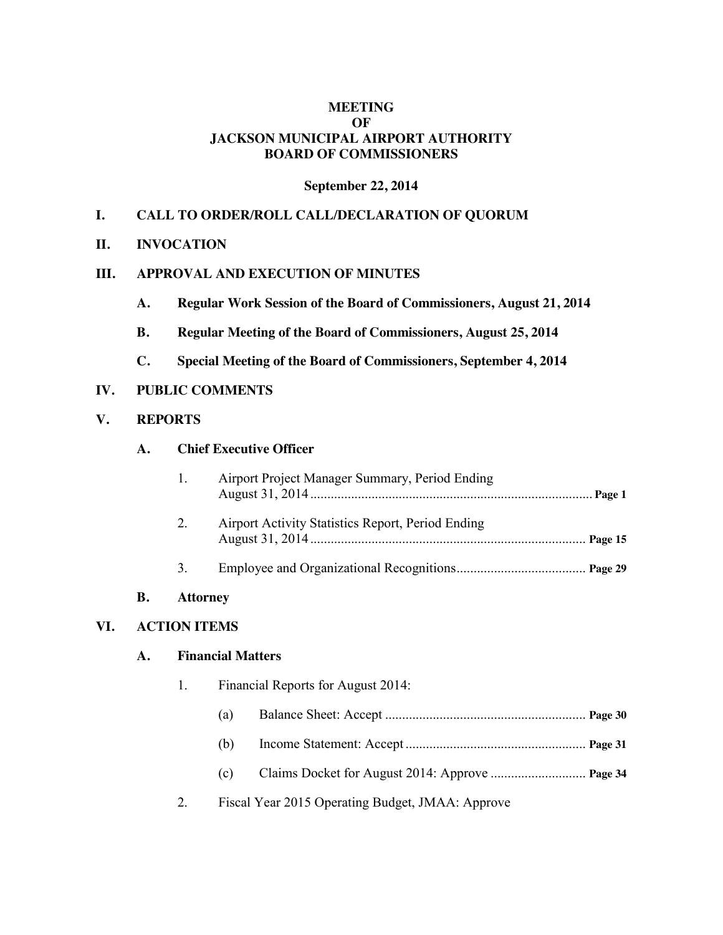## **MEETING OF JACKSON MUNICIPAL AIRPORT AUTHORITY BOARD OF COMMISSIONERS**

#### **September 22, 2014**

## **I. CALL TO ORDER/ROLL CALL/DECLARATION OF QUORUM**

#### **II. INVOCATION**

#### **III. APPROVAL AND EXECUTION OF MINUTES**

- **A. Regular Work Session of the Board of Commissioners, August 21, 2014**
- **B. Regular Meeting of the Board of Commissioners, August 25, 2014**
- **C. Special Meeting of the Board of Commissioners, September 4, 2014**

## **IV. PUBLIC COMMENTS**

### **V. REPORTS**

## **A. Chief Executive Officer**

|    | Airport Project Manager Summary, Period Ending    |  |
|----|---------------------------------------------------|--|
| 2. | Airport Activity Statistics Report, Period Ending |  |
|    |                                                   |  |

#### **B. Attorney**

#### **VI. ACTION ITEMS**

### **A. Financial Matters**

- 1. Financial Reports for August 2014:
	- (a) Balance Sheet: Accept ........................................................... **Page 30**
	- (b) Income Statement: Accept ..................................................... **Page 31**
	- (c) Claims Docket for August 2014: Approve ............................ **Page 34**
- 2. Fiscal Year 2015 Operating Budget, JMAA: Approve